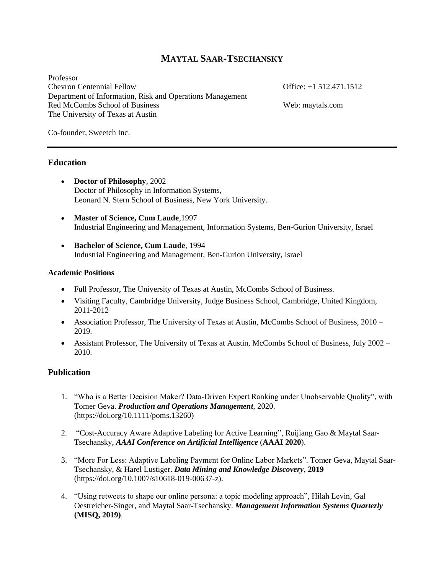## **MAYTAL SAAR-TSECHANSKY**

Professor Chevron Centennial Fellow Office: +1 512.471.1512 Department of Information, Risk and Operations Management Red McCombs School of Business Web: maytals.com The University of Texas at Austin

Co-founder, Sweetch Inc.

#### **Education**

- **Doctor of Philosophy**, 2002 Doctor of Philosophy in Information Systems, Leonard N. Stern School of Business, New York University.
- **Master of Science, Cum Laude**,1997 Industrial Engineering and Management, Information Systems, Ben-Gurion University, Israel
- **Bachelor of Science, Cum Laude**, 1994 Industrial Engineering and Management, Ben-Gurion University, Israel

#### **Academic Positions**

- Full Professor, The University of Texas at Austin, McCombs School of Business.
- Visiting Faculty, Cambridge University, Judge Business School, Cambridge, United Kingdom, 2011-2012
- Association Professor, The University of Texas at Austin, McCombs School of Business, 2010 2019.
- Assistant Professor, The University of Texas at Austin, McCombs School of Business, July 2002 2010.

### **Publication**

- 1. "Who is a Better Decision Maker? Data-Driven Expert Ranking under Unobservable Quality", with Tomer Geva. *Production and Operations Management*, 2020. (https://doi.org/10.1111/poms.13260)
- 2. "Cost-Accuracy Aware Adaptive Labeling for Active Learning", Ruijiang Gao & Maytal Saar-Tsechansky, *AAAI Conference on Artificial Intelligence* (**AAAI 2020**).
- 3. "More For Less: Adaptive Labeling Payment for Online Labor Markets". Tomer Geva, Maytal Saar-Tsechansky, & Harel Lustiger. *Data Mining and Knowledge Discovery*, **2019** (https://doi.org/10.1007/s10618-019-00637-z).
- 4. "Using retweets to shape our online persona: a topic modeling approach", Hilah Levin, Gal Oestreicher-Singer, and Maytal Saar-Tsechansky. *Management Information Systems Quarterly* **(MISQ, 2019)**.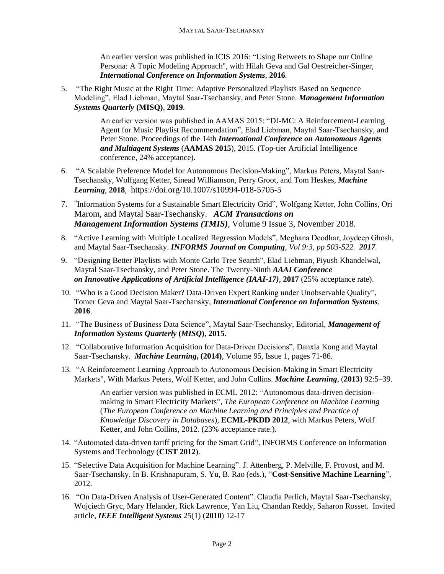An earlier version was published in ICIS 2016: "Using Retweets to Shape our Online Persona: A Topic Modeling Approach", with Hilah Geva and Gal Oestreicher-Singer, *International Conference on Information Systems*, **2016**.

5. "The Right Music at the Right Time: Adaptive Personalized Playlists Based on Sequence Modeling", Elad Liebman, Maytal Saar-Tsechansky, and Peter Stone. *Management Information Systems Quarterly* **(MISQ)**, **2019**.

> An earlier version was published in AAMAS 2015: "DJ-MC: A Reinforcement-Learning Agent for Music Playlist Recommendation", Elad Liebman, Maytal Saar-Tsechansky, and Peter Stone. Proceedings of the 14th *International Conference on Autonomous Agents and Multiagent Systems* (**AAMAS 2015**), 2015. (Top-tier Artificial Intelligence conference, 24% acceptance).

- 6. "A Scalable Preference Model for Autonomous Decision-Making", Markus Peters, Maytal Saar-Tsechansky, Wolfgang Ketter, Sinead Williamson, Perry Groot, and Tom Heskes, *Machine Learning*, **2018**, https://doi.org/10.1007/s10994-018-5705-5
- 7. "Information Systems for a Sustainable Smart Electricity Grid", Wolfgang Ketter, John Collins, Ori Marom, and Maytal Saar-Tsechansky. *ACM Transactions on Management Information Systems (TMIS)*, Volume 9 Issue 3, November 2018.
- 8. "Active Learning with Multiple Localized Regression Models", Meghana Deodhar, Joydeep Ghosh, and Maytal Saar-Tsechansky. *INFORMS Journal on Computing, Vol 9:3, pp 503-522. 2017.*
- 9. "Designing Better Playlists with Monte Carlo Tree Search", Elad Liebman, Piyush Khandelwal, Maytal Saar-Tsechansky, and Peter Stone. The Twenty-Ninth *AAAI Conference on Innovative Applications of Artificial Intelligence (IAAI-17)*, **2017** (25% acceptance rate).
- 10. "Who is a Good Decision Maker? Data-Driven Expert Ranking under Unobservable Quality", Tomer Geva and Maytal Saar-Tsechansky, *International Conference on Information Systems*, **2016**.
- 11. "The Business of Business Data Science", Maytal Saar-Tsechansky, Editorial, *Management of Information Systems Quarterly* **(***MISQ***)**, **2015**.
- 12. "Collaborative Information Acquisition for Data-Driven Decisions", Danxia Kong and Maytal Saar-Tsechansky. *Machine Learning***, (2014)**, Volume 95, Issue 1, pages 71-86.
- 13. "A Reinforcement Learning Approach to Autonomous Decision-Making in Smart Electricity Markets", With Markus Peters, Wolf Ketter, and John Collins. *Machine Learning*, (**2013**) 92:5–39.

An earlier version was published in ECML 2012: "Autonomous data-driven decisionmaking in Smart Electricity Markets", *The European Conference on Machine Learning*  (*The European Conference on Machine Learning and Principles and Practice of Knowledge Discovery in Databases*), **ECML-PKDD 2012**, with Markus Peters, Wolf Ketter, and John Collins, 2012. (23% acceptance rate.).

- 14. "Automated data-driven tariff pricing for the Smart Grid", INFORMS Conference on Information Systems and Technology (**CIST 2012**).
- 15. "Selective Data Acquisition for Machine Learning". J. Attenberg, P. Melville, F. Provost, and M. Saar-Tsechansky. In B. Krishnapuram, S. Yu, B. Rao (eds.), "**Cost-Sensitive Machine Learning**", 2012.
- 16. "On Data-Driven Analysis of User-Generated Content". Claudia Perlich, Maytal Saar-Tsechansky, Wojciech Gryc, Mary Helander, Rick Lawrence, Yan Liu, Chandan Reddy, Saharon Rosset. Invited article, *IEEE Intelligent Systems* 25(1) (**2010**) 12-17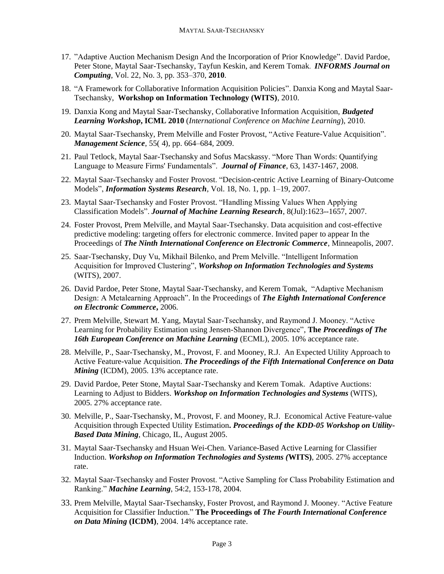- 17. "Adaptive Auction Mechanism Design And the Incorporation of Prior Knowledge". David Pardoe, Peter Stone, Maytal Saar-Tsechansky, Tayfun Keskin, and Kerem Tomak. *INFORMS Journal on Computing*, Vol. 22, No. 3, pp. 353–370, **2010**.
- 18. "A Framework for Collaborative Information Acquisition Policies". Danxia Kong and Maytal Saar-Tsechansky, **Workshop on Information Technology (WITS)**, 2010.
- 19. Danxia Kong and Maytal Saar-Tsechansky, Collaborative Information Acquisition, *Budgeted Learning Workshop***, ICML 2010** (*International Conference on Machine Learning*), 2010.
- 20. Maytal Saar-Tsechansky, Prem Melville and Foster Provost, "Active Feature-Value Acquisition". *Management Science*, 55( 4), pp. 664–684, 2009.
- 21. Paul Tetlock, Maytal Saar-Tsechansky and Sofus Macskassy. "More Than Words: Quantifying Language to Measure Firms' Fundamentals". *Journal of Finance*, 63, 1437-1467, 2008.
- 22. Maytal Saar-Tsechansky and Foster Provost. "Decision-centric Active Learning of Binary-Outcome Models", *Information Systems Research*, Vol. 18, No. 1, pp. 1–19, 2007.
- 23. Maytal Saar-Tsechansky and Foster Provost. "Handling Missing Values When Applying Classification Models". *Journal of Machine Learning Research*, 8(Jul):1623--1657, 2007.
- 24. Foster Provost, Prem Melville, and Maytal Saar-Tsechansky. Data acquisition and cost-effective predictive modeling: targeting offers for electronic commerce. Invited paper to appear In the Proceedings of *The Ninth International Conference on Electronic Commerce*, Minneapolis, 2007.
- 25. Saar-Tsechansky, Duy Vu, Mikhail Bilenko, and Prem Melville. "Intelligent Information Acquisition for Improved Clustering", *Workshop on Information Technologies and Systems* (WITS), 2007.
- 26. David Pardoe, Peter Stone, Maytal Saar-Tsechansky, and Kerem Tomak, "Adaptive Mechanism Design: A Metalearning Approach". In the Proceedings of *The Eighth International Conference on Electronic Commerce***,** 2006.
- 27. Prem Melville, Stewart M. Yang, Maytal Saar-Tsechansky, and Raymond J. Mooney. "Active Learning for Probability Estimation using Jensen-Shannon Divergence", **The** *Proceedings of The 16th European Conference on Machine Learning* (ECML), 2005. 10% acceptance rate.
- 28. Melville, P., Saar-Tsechansky, M., Provost, F. and Mooney, R.J. An Expected Utility Approach to Active Feature-value Acquisition. *The Proceedings of the Fifth International Conference on Data Mining* (ICDM), 2005. 13% acceptance rate.
- 29. David Pardoe, Peter Stone, Maytal Saar-Tsechansky and Kerem Tomak. Adaptive Auctions: Learning to Adjust to Bidders. *Workshop on Information Technologies and Systems* (WITS), 2005. 27% acceptance rate.
- 30. Melville, P., Saar-Tsechansky, M., Provost, F. and Mooney, R.J. Economical Active Feature-value Acquisition through Expected Utility Estimation**.** *Proceedings of the KDD-05 Workshop on Utility-Based Data Mining*, Chicago, IL, August 2005.
- 31. Maytal Saar-Tsechansky and Hsuan Wei-Chen. Variance-Based Active Learning for Classifier Induction. *Workshop on Information Technologies and Systems (***WITS)**, 2005. 27% acceptance rate.
- 32. Maytal Saar-Tsechansky and Foster Provost. "Active Sampling for Class Probability Estimation and Ranking." *Machine Learning*, 54:2, 153-178, 2004.
- 33. Prem Melville, Maytal Saar-Tsechansky, Foster Provost, and Raymond J. Mooney. "Active Feature Acquisition for Classifier Induction." **The Proceedings of** *The Fourth International Conference on Data Mining* **(ICDM)**, 2004. 14% acceptance rate.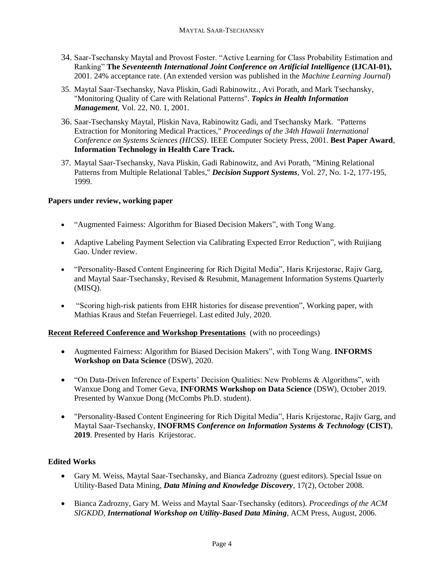- 34. Saar-Tsechansky Maytal and Provost Foster. "Active Learning for Class Probability Estimation and Ranking" **The** *Seventeenth International Joint Conference on Artificial Intelligence* **(IJCAI-01),** 2001. 24% acceptance rate. (An extended version was published in the *Machine Learning Journal*)
- 35. Maytal Saar-Tsechansky, Nava Pliskin, Gadi Rabinowitz., Avi Porath, and Mark Tsechansky, "Monitoring Quality of Care with Relational Patterns". *Topics in Health Information Management*, Vol. 22, N0. 1, 2001.
- 36. Saar-Tsechansky Maytal, Pliskin Nava, Rabinowitz Gadi, and Tsechansky Mark. "Patterns Extraction for Monitoring Medical Practices," *Proceedings of the 34th Hawaii International Conference on Systems Sciences (HICSS)*. IEEE Computer Society Press, 2001. **Best Paper Award**, **Information Technology in Health Care Track.**
- 37. Maytal Saar-Tsechansky, Nava Pliskin, Gadi Rabinowitz, and Avi Porath, "Mining Relational Patterns from Multiple Relational Tables," *Decision Support Systems*, Vol. 27, No. 1-2, 177-195, 1999.

#### **Papers under review, working paper**

- "Augmented Fairness: Algorithm for Biased Decision Makers", with Tong Wang.
- Adaptive Labeling Payment Selection via Calibrating Expected Error Reduction", with Ruijiang Gao. Under review.
- "Personality-Based Content Engineering for Rich Digital Media", Haris Krijestorac, Rajiv Garg, and Maytal Saar-Tsechansky, Revised & Resubmit, Management Information Systems Quarterly (MISQ).
- "Scoring high-risk patients from EHR histories for disease prevention", Working paper, with Mathias Kraus and Stefan Feuerriegel. Last edited July, 2020.

### **Recent Refereed Conference and Workshop Presentations** (with no proceedings)

- Augmented Fairness: Algorithm for Biased Decision Makers", with Tong Wang. **INFORMS Workshop on Data Science** (DSW), 2020.
- "On Data-Driven Inference of Experts' Decision Qualities: New Problems & Algorithms", with Wanxue Dong and Tomer Geva, **INFORMS Workshop on Data Science** (DSW), October 2019. Presented by Wanxue Dong (McCombs Ph.D. student).
- "Personality-Based Content Engineering for Rich Digital Media", Haris Krijestorac, Rajiv Garg, and Maytal Saar-Tsechansky, **INOFRMS** *Conference on Information Systems & Technology* **(CIST)**, **2019**. Presented by Haris Krijestorac.

### **Edited Works**

- Gary M. Weiss, Maytal Saar-Tsechansky, and Bianca Zadrozny (guest editors). Special Issue on Utility-Based Data Mining, *Data Mining and Knowledge Discovery*, 17(2), October 2008.
- Bianca Zadrozny, Gary M. Weiss and Maytal Saar-Tsechansky (editors). *Proceedings of the ACM SIGKDD, International Workshop on Utility-Based Data Mining*, ACM Press, August, 2006.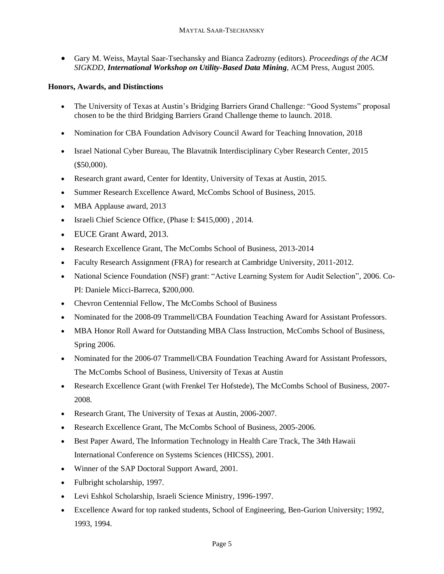• Gary M. Weiss, Maytal Saar-Tsechansky and Bianca Zadrozny (editors). *Proceedings of the ACM SIGKDD, International Workshop on Utility-Based Data Mining*, ACM Press, August 2005.

### **Honors, Awards, and Distinctions**

- The University of Texas at Austin's Bridging Barriers Grand Challenge: "Good Systems" proposal chosen to be the third Bridging Barriers Grand Challenge theme to launch. 2018.
- Nomination for CBA Foundation Advisory Council Award for Teaching Innovation, 2018
- Israel National Cyber Bureau, The Blavatnik Interdisciplinary Cyber Research Center, 2015 (\$50,000).
- Research grant award, Center for Identity, University of Texas at Austin, 2015.
- Summer Research Excellence Award, McCombs School of Business, 2015.
- MBA Applause award, 2013
- Israeli Chief Science Office, (Phase I: \$415,000) , 2014.
- EUCE Grant Award, 2013.
- Research Excellence Grant, The McCombs School of Business, 2013-2014
- Faculty Research Assignment (FRA) for research at Cambridge University, 2011-2012.
- National Science Foundation (NSF) grant: "Active Learning System for Audit Selection", 2006. Co-PI: Daniele Micci-Barreca, \$200,000.
- Chevron Centennial Fellow, The McCombs School of Business
- Nominated for the 2008-09 Trammell/CBA Foundation Teaching Award for Assistant Professors.
- MBA Honor Roll Award for Outstanding MBA Class Instruction, McCombs School of Business, Spring 2006.
- Nominated for the 2006-07 Trammell/CBA Foundation Teaching Award for Assistant Professors, The McCombs School of Business, University of Texas at Austin
- Research Excellence Grant (with Frenkel Ter Hofstede), The McCombs School of Business, 2007-2008.
- Research Grant, The University of Texas at Austin, 2006-2007.
- Research Excellence Grant, The McCombs School of Business, 2005-2006.
- Best Paper Award, The Information Technology in Health Care Track, The 34th Hawaii International Conference on Systems Sciences (HICSS), 2001.
- Winner of the SAP Doctoral Support Award, 2001.
- Fulbright scholarship, 1997.
- Levi Eshkol Scholarship, Israeli Science Ministry, 1996-1997.
- Excellence Award for top ranked students, School of Engineering, Ben-Gurion University; 1992, 1993, 1994.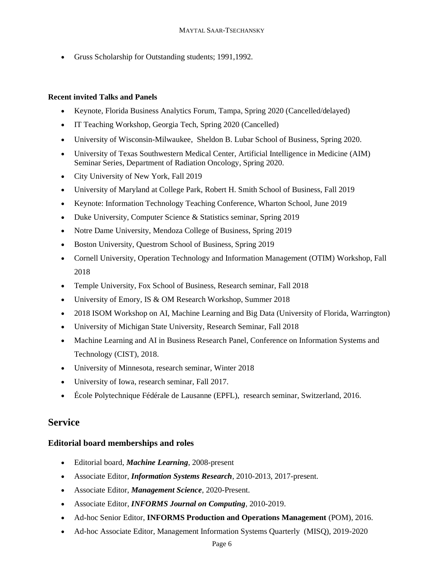• Gruss Scholarship for Outstanding students; 1991, 1992.

### **Recent invited Talks and Panels**

- Keynote, Florida Business Analytics Forum, Tampa, Spring 2020 (Cancelled/delayed)
- IT Teaching Workshop, Georgia Tech, Spring 2020 (Cancelled)
- University of Wisconsin-Milwaukee, Sheldon B. Lubar School of Business, Spring 2020.
- University of Texas Southwestern Medical Center, Artificial Intelligence in Medicine (AIM) Seminar Series, Department of Radiation Oncology, Spring 2020.
- City University of New York, Fall 2019
- University of Maryland at College Park, Robert H. Smith School of Business, Fall 2019
- Keynote: Information Technology Teaching Conference, Wharton School, June 2019
- Duke University, Computer Science & Statistics seminar, Spring 2019
- Notre Dame University, Mendoza College of Business, Spring 2019
- Boston University, Questrom School of Business, Spring 2019
- Cornell University, Operation Technology and Information Management (OTIM) Workshop, Fall 2018
- Temple University, Fox School of Business, Research seminar, Fall 2018
- University of Emory, IS & OM Research Workshop, Summer 2018
- 2018 ISOM Workshop on AI, Machine Learning and Big Data (University of Florida, Warrington)
- University of Michigan State University, Research Seminar, Fall 2018
- Machine Learning and AI in Business Research Panel, Conference on Information Systems and Technology (CIST), 2018.
- University of Minnesota, research seminar, Winter 2018
- University of Iowa, research seminar, Fall 2017.
- École Polytechnique Fédérale de Lausanne (EPFL), research seminar, Switzerland, 2016.

## **Service**

### **Editorial board memberships and roles**

- Editorial board, *Machine Learning*, 2008-present
- Associate Editor, *Information Systems Research*, 2010-2013, 2017-present.
- Associate Editor, *Management Science*, 2020-Present.
- Associate Editor, *INFORMS Journal on Computing*, 2010-2019.
- Ad-hoc Senior Editor, **INFORMS Production and Operations Management** (POM), 2016.
- Ad-hoc Associate Editor, Management Information Systems Quarterly (MISQ), 2019-2020